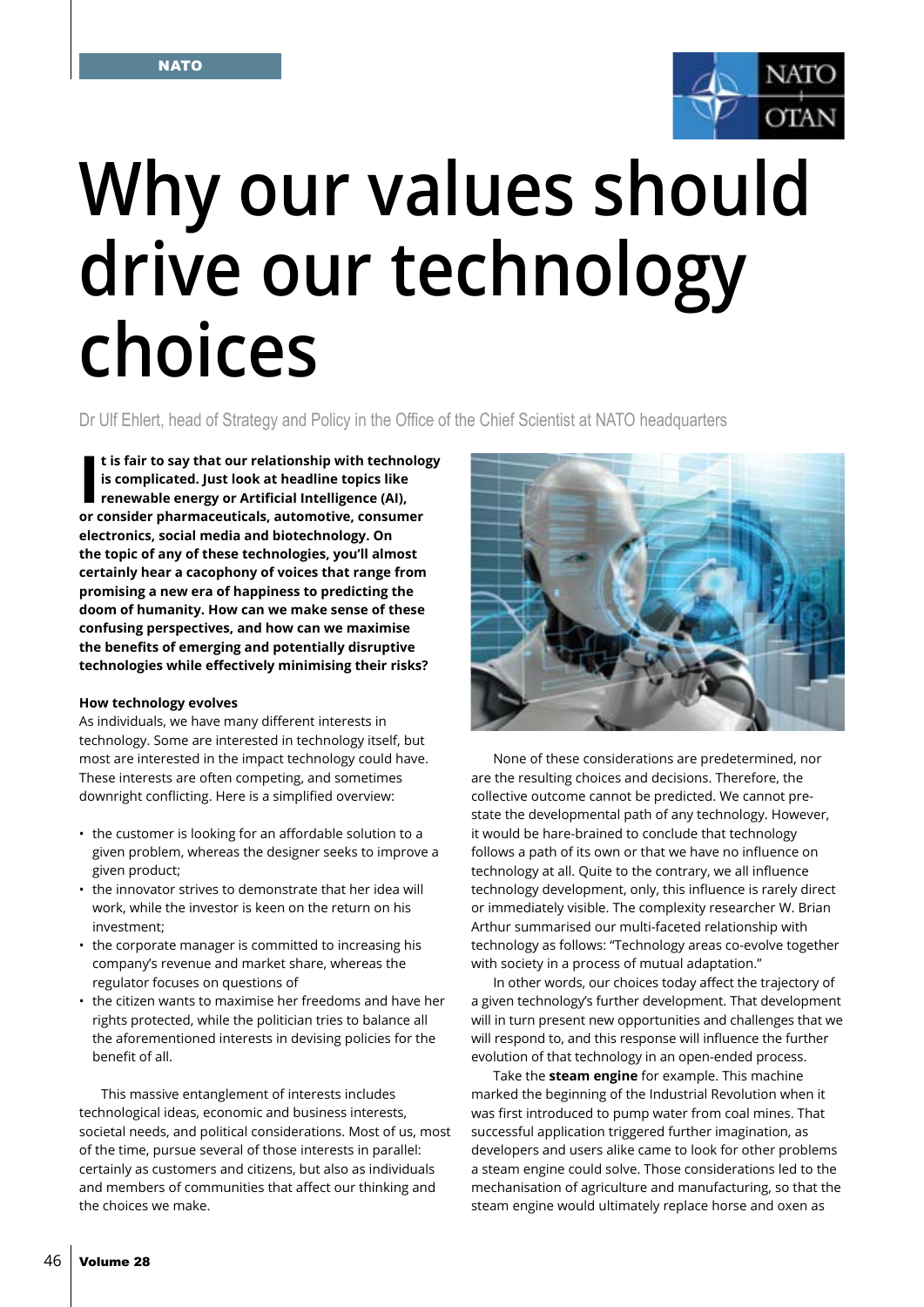

# **Why our values should drive our technology choices**

Dr Ulf Ehlert, head of Strategy and Policy in the Office of the Chief Scientist at NATO headquarters

**I** is fair to say that our relationship with technologis complicated. Just look at headline topics like renewable energy or Artificial Intelligence (AI), or consider pharmaceuticals, automotive, consumer **t is fair to say that our relationship with technology is complicated. Just look at headline topics like renewable energy or Artificial Intelligence (AI), electronics, social media and biotechnology. On the topic of any of these technologies, you'll almost certainly hear a cacophony of voices that range from promising a new era of happiness to predicting the doom of humanity. How can we make sense of these confusing perspectives, and how can we maximise the benefits of emerging and potentially disruptive technologies while effectively minimising their risks?**

# **How technology evolves**

As individuals, we have many different interests in technology. Some are interested in technology itself, but most are interested in the impact technology could have. These interests are often competing, and sometimes downright conflicting. Here is a simplified overview:

- the customer is looking for an affordable solution to a given problem, whereas the designer seeks to improve a given product;
- the innovator strives to demonstrate that her idea will work, while the investor is keen on the return on his investment;
- the corporate manager is committed to increasing his company's revenue and market share, whereas the regulator focuses on questions of
- the citizen wants to maximise her freedoms and have her rights protected, while the politician tries to balance all the aforementioned interests in devising policies for the benefit of all.

This massive entanglement of interests includes technological ideas, economic and business interests, societal needs, and political considerations. Most of us, most of the time, pursue several of those interests in parallel: certainly as customers and citizens, but also as individuals and members of communities that affect our thinking and the choices we make.



None of these considerations are predetermined, nor are the resulting choices and decisions. Therefore, the collective outcome cannot be predicted. We cannot prestate the developmental path of any technology. However, it would be hare-brained to conclude that technology follows a path of its own or that we have no influence on technology at all. Quite to the contrary, we all influence technology development, only, this influence is rarely direct or immediately visible. The complexity researcher W. Brian Arthur summarised our multi-faceted relationship with technology as follows: "Technology areas co-evolve together with society in a process of mutual adaptation."

In other words, our choices today affect the trajectory of a given technology's further development. That development will in turn present new opportunities and challenges that we will respond to, and this response will influence the further evolution of that technology in an open-ended process.

Take the **steam engine** for example. This machine marked the beginning of the Industrial Revolution when it was first introduced to pump water from coal mines. That successful application triggered further imagination, as developers and users alike came to look for other problems a steam engine could solve. Those considerations led to the mechanisation of agriculture and manufacturing, so that the steam engine would ultimately replace horse and oxen as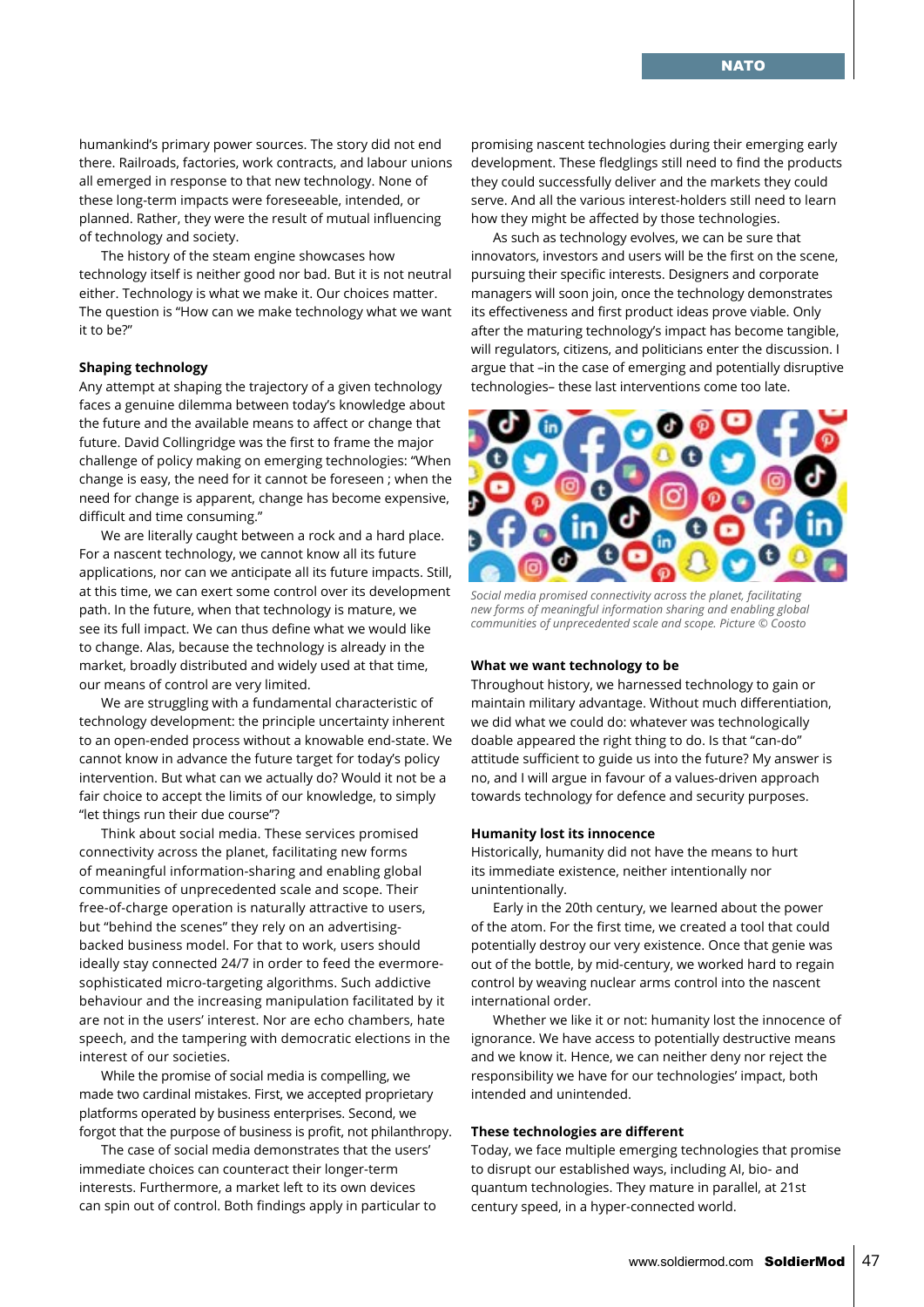humankind's primary power sources. The story did not end there. Railroads, factories, work contracts, and labour unions all emerged in response to that new technology. None of these long-term impacts were foreseeable, intended, or planned. Rather, they were the result of mutual influencing of technology and society.

The history of the steam engine showcases how technology itself is neither good nor bad. But it is not neutral either. Technology is what we make it. Our choices matter. The question is "How can we make technology what we want it to be?"

# **Shaping technology**

Any attempt at shaping the trajectory of a given technology faces a genuine dilemma between today's knowledge about the future and the available means to affect or change that future. David Collingridge was the first to frame the major challenge of policy making on emerging technologies: "When change is easy, the need for it cannot be foreseen ; when the need for change is apparent, change has become expensive, difficult and time consuming."

We are literally caught between a rock and a hard place. For a nascent technology, we cannot know all its future applications, nor can we anticipate all its future impacts. Still, at this time, we can exert some control over its development path. In the future, when that technology is mature, we see its full impact. We can thus define what we would like to change. Alas, because the technology is already in the market, broadly distributed and widely used at that time, our means of control are very limited.

We are struggling with a fundamental characteristic of technology development: the principle uncertainty inherent to an open-ended process without a knowable end-state. We cannot know in advance the future target for today's policy intervention. But what can we actually do? Would it not be a fair choice to accept the limits of our knowledge, to simply "let things run their due course"?

Think about social media. These services promised connectivity across the planet, facilitating new forms of meaningful information-sharing and enabling global communities of unprecedented scale and scope. Their free-of-charge operation is naturally attractive to users, but "behind the scenes" they rely on an advertisingbacked business model. For that to work, users should ideally stay connected 24/7 in order to feed the evermoresophisticated micro-targeting algorithms. Such addictive behaviour and the increasing manipulation facilitated by it are not in the users' interest. Nor are echo chambers, hate speech, and the tampering with democratic elections in the interest of our societies.

While the promise of social media is compelling, we made two cardinal mistakes. First, we accepted proprietary platforms operated by business enterprises. Second, we forgot that the purpose of business is profit, not philanthropy.

The case of social media demonstrates that the users' immediate choices can counteract their longer-term interests. Furthermore, a market left to its own devices can spin out of control. Both findings apply in particular to

promising nascent technologies during their emerging early development. These fledglings still need to find the products they could successfully deliver and the markets they could serve. And all the various interest-holders still need to learn how they might be affected by those technologies.

As such as technology evolves, we can be sure that innovators, investors and users will be the first on the scene, pursuing their specific interests. Designers and corporate managers will soon join, once the technology demonstrates its effectiveness and first product ideas prove viable. Only after the maturing technology's impact has become tangible, will regulators, citizens, and politicians enter the discussion. I argue that –in the case of emerging and potentially disruptive technologies– these last interventions come too late.



*Social media promised connectivity across the planet, facilitating new forms of meaningful information sharing and enabling global communities of unprecedented scale and scope. Picture © Coosto*

### **What we want technology to be**

Throughout history, we harnessed technology to gain or maintain military advantage. Without much differentiation, we did what we could do: whatever was technologically doable appeared the right thing to do. Is that "can-do" attitude sufficient to guide us into the future? My answer is no, and I will argue in favour of a values-driven approach towards technology for defence and security purposes.

### **Humanity lost its innocence**

Historically, humanity did not have the means to hurt its immediate existence, neither intentionally nor unintentionally.

Early in the 20th century, we learned about the power of the atom. For the first time, we created a tool that could potentially destroy our very existence. Once that genie was out of the bottle, by mid-century, we worked hard to regain control by weaving nuclear arms control into the nascent international order.

Whether we like it or not: humanity lost the innocence of ignorance. We have access to potentially destructive means and we know it. Hence, we can neither deny nor reject the responsibility we have for our technologies' impact, both intended and unintended.

## **These technologies are different**

Today, we face multiple emerging technologies that promise to disrupt our established ways, including AI, bio- and quantum technologies. They mature in parallel, at 21st century speed, in a hyper-connected world.